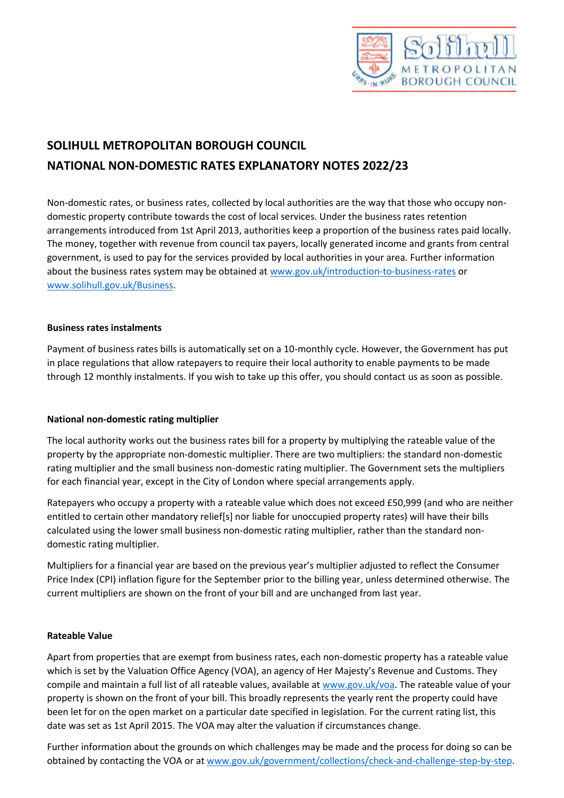

# **SOLIHULL METROPOLITAN BOROUGH COUNCIL NATIONAL NON-DOMESTIC RATES EXPLANATORY NOTES 2022/23**

Non-domestic rates, or business rates, collected by local authorities are the way that those who occupy nondomestic property contribute towards the cost of local services. Under the business rates retention arrangements introduced from 1st April 2013, authorities keep a proportion of the business rates paid locally. The money, together with revenue from council tax payers, locally generated income and grants from central government, is used to pay for the services provided by local authorities in your area. Further information about the business rates system may be obtained at [www.gov.uk/introduction-to-business-rates](https://www.gov.uk/introduction-to-business-rates) or [www.solihull.gov.uk/Business.](https://www.solihull.gov.uk/Business)

### **Business rates instalments**

Payment of business rates bills is automatically set on a 10-monthly cycle. However, the Government has put in place regulations that allow ratepayers to require their local authority to enable payments to be made through 12 monthly instalments. If you wish to take up this offer, you should contact us as soon as possible.

# **National non-domestic rating multiplier**

The local authority works out the business rates bill for a property by multiplying the rateable value of the property by the appropriate non-domestic multiplier. There are two multipliers: the standard non-domestic rating multiplier and the small business non-domestic rating multiplier. The Government sets the multipliers for each financial year, except in the City of London where special arrangements apply.

Ratepayers who occupy a property with a rateable value which does not exceed £50,999 (and who are neither entitled to certain other mandatory relief[s] nor liable for unoccupied property rates) will have their bills calculated using the lower small business non-domestic rating multiplier, rather than the standard nondomestic rating multiplier.

Multipliers for a financial year are based on the previous year's multiplier adjusted to reflect the Consumer Price Index (CPI) inflation figure for the September prior to the billing year, unless determined otherwise. The current multipliers are shown on the front of your bill and are unchanged from last year.

### **Rateable Value**

Apart from properties that are exempt from business rates, each non-domestic property has a rateable value which is set by the Valuation Office Agency (VOA), an agency of Her Majesty's Revenue and Customs. They compile and maintain a full list of all rateable values, available a[t www.gov.uk/voa.](http://www.gov.uk/voa) The rateable value of your property is shown on the front of your bill. This broadly represents the yearly rent the property could have been let for on the open market on a particular date specified in legislation. For the current rating list, this date was set as 1st April 2015. The VOA may alter the valuation if circumstances change.

Further information about the grounds on which challenges may be made and the process for doing so can be obtained by contacting the VOA or at [www.gov.uk/government/collections/check-and-challenge-step-by-step.](https://www.gov.uk/government/collections/check-and-challenge-step-by-step)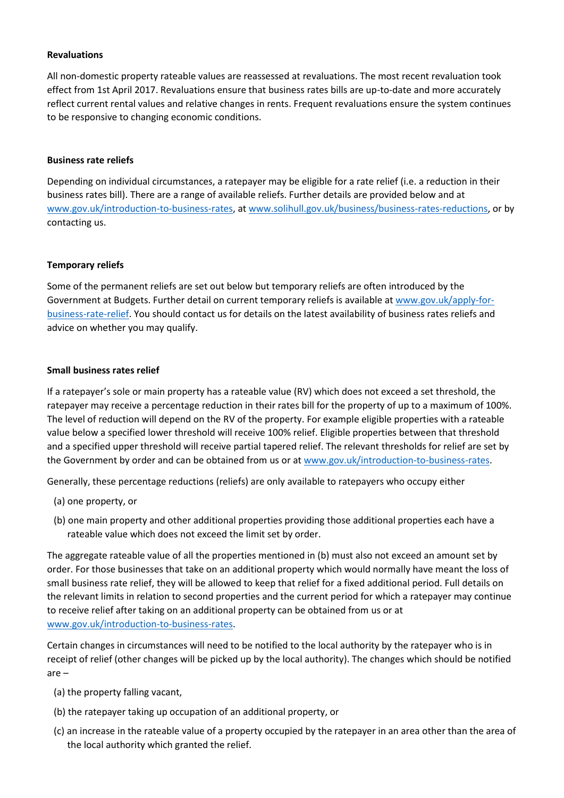### **Revaluations**

All non-domestic property rateable values are reassessed at revaluations. The most recent revaluation took effect from 1st April 2017. Revaluations ensure that business rates bills are up-to-date and more accurately reflect current rental values and relative changes in rents. Frequent revaluations ensure the system continues to be responsive to changing economic conditions.

#### **Business rate reliefs**

Depending on individual circumstances, a ratepayer may be eligible for a rate relief (i.e. a reduction in their business rates bill). There are a range of available reliefs. Further details are provided below and at [www.gov.uk/introduction-to-business-rates,](https://www.gov.uk/introduction-to-business-rates) a[t www.solihull.gov.uk/business/business-rates-reductions,](https://www.solihull.gov.uk/business/business-rates-reductions) or by contacting us.

#### **Temporary reliefs**

Some of the permanent reliefs are set out below but temporary reliefs are often introduced by the Government at Budgets. Further detail on current temporary reliefs is available a[t www.gov.uk/apply-for](https://www.gov.uk/apply-for-business-rate-relief)[business-rate-relief.](https://www.gov.uk/apply-for-business-rate-relief) You should contact us for details on the latest availability of business rates reliefs and advice on whether you may qualify.

#### **Small business rates relief**

If a ratepayer's sole or main property has a rateable value (RV) which does not exceed a set threshold, the ratepayer may receive a percentage reduction in their rates bill for the property of up to a maximum of 100%. The level of reduction will depend on the RV of the property. For example eligible properties with a rateable value below a specified lower threshold will receive 100% relief. Eligible properties between that threshold and a specified upper threshold will receive partial tapered relief. The relevant thresholds for relief are set by the Government by order and can be obtained from us or a[t www.gov.uk/introduction-to-business-rates.](http://www.gov.uk/introduction-to-business-rates)

Generally, these percentage reductions (reliefs) are only available to ratepayers who occupy either

- (a) one property, or
- (b) one main property and other additional properties providing those additional properties each have a rateable value which does not exceed the limit set by order.

The aggregate rateable value of all the properties mentioned in (b) must also not exceed an amount set by order. For those businesses that take on an additional property which would normally have meant the loss of small business rate relief, they will be allowed to keep that relief for a fixed additional period. Full details on the relevant limits in relation to second properties and the current period for which a ratepayer may continue to receive relief after taking on an additional property can be obtained from us or at [www.gov.uk/introduction-to-business-rates.](http://www.gov.uk/introduction-to-business-rates)

Certain changes in circumstances will need to be notified to the local authority by the ratepayer who is in receipt of relief (other changes will be picked up by the local authority). The changes which should be notified are –

- (a) the property falling vacant,
- (b) the ratepayer taking up occupation of an additional property, or
- (c) an increase in the rateable value of a property occupied by the ratepayer in an area other than the area of the local authority which granted the relief.